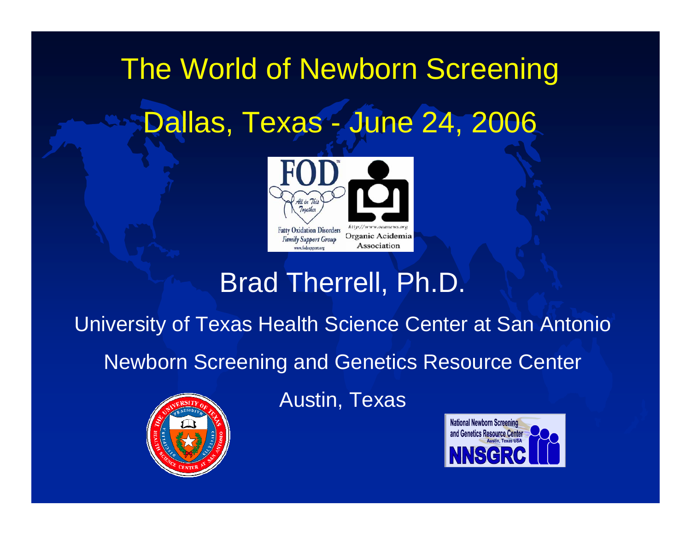# The World of Newborn Screening Dallas, Texas - June 24, 2006



### Brad Therrell, Ph.D.

University of Texas Health Science Center at San Antonio

Newborn Screening and Genetics Resource Center



Austin, Texas

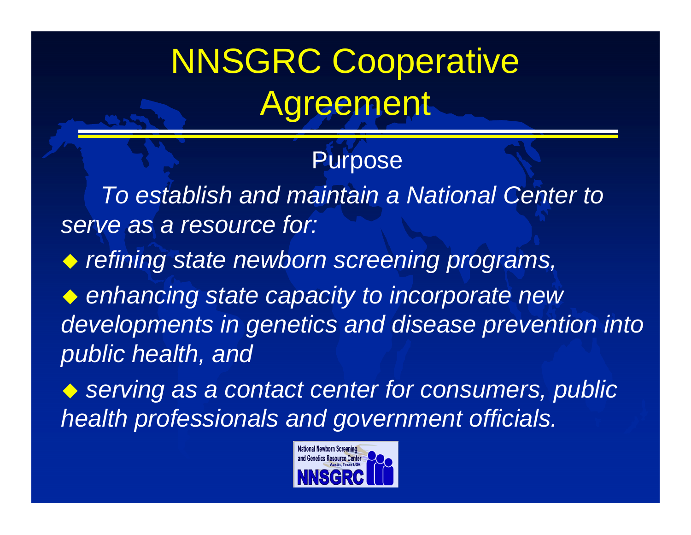# NNSGRC Cooperative **Agreement**

### **Purpose**

*To establish and maintain a National Center to serve as a resource for:* 

*refining state newborn screening programs,*

 *enhancing state capacity to incorporate new developments in genetics and disease prevention into public health, and*

◆ serving as a contact center for consumers, public *health professionals and government officials.* 

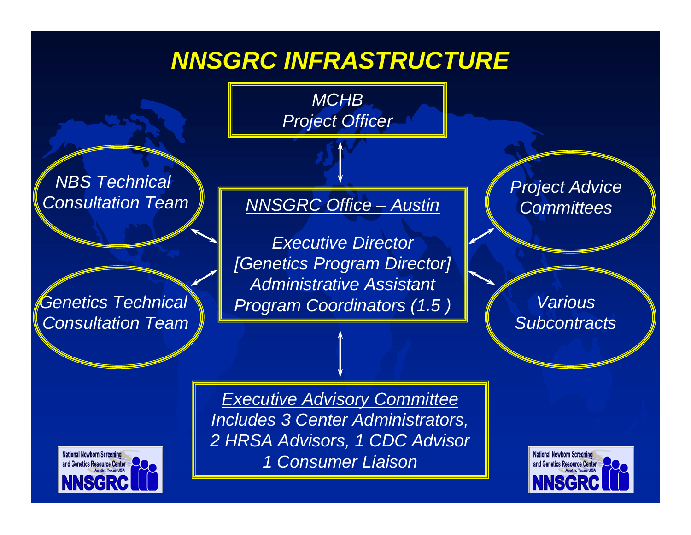### *NNSGRC INFRASTRUCTURE*

*MCHB Project Officer*

*NBS Technical Consultation Team*

*Genetics Technical Consultation Team*

*NNSGRC Office – Austin*

*Executive Director [Genetics Program Director] Administrative Assistant Program Coordinators (1.5 )*

*Project Advice Committees*

*VariousSubcontracts*

**National Newborn Screening** and Genetics Resource Center **INSGR** 

*Executive Advisory Committee Includes 3 Center Administrators, 2 HRSA Advisors, 1 CDC Advisor 1 Consumer Liaison*

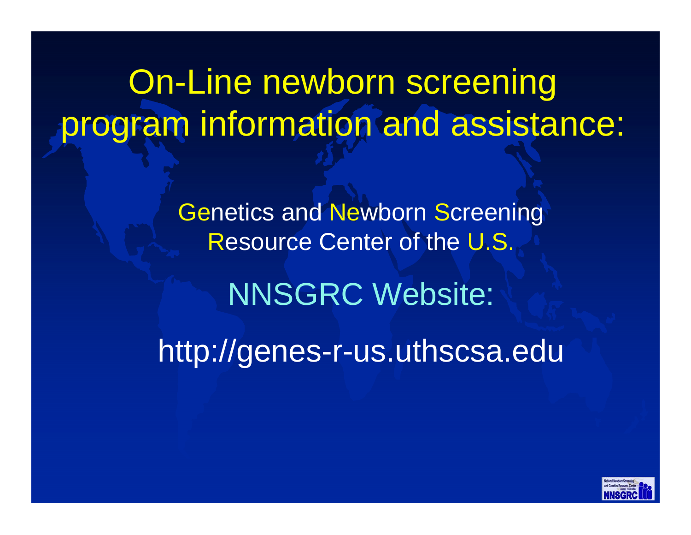On-Line newborn screening program information and assistance:

> Genetics and Newborn Screening Resource Center of the U.S. NNSGRC Website: http://genes-r-us.uthscsa.edu

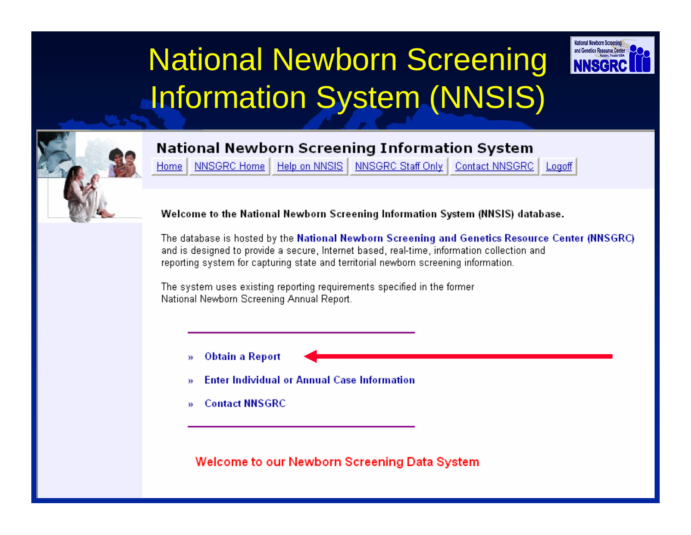## National Newborn Screening Information System (NNSIS)



#### **National Newborn Screening Information System**

NNSGRC Home Help on NNSIS NNSGRC Staff Only Home:

Contact NNSGRC Logoff

and Genetics Resource Cente

Welcome to the National Newborn Screening Information System (NNSIS) database.

The database is hosted by the National Newborn Screening and Genetics Resource Center (NNSGRC) and is designed to provide a secure, Internet based, real-time, information collection and reporting system for capturing state and territorial newborn screening information.

The system uses existing reporting requirements specified in the former National Newborn Screening Annual Report.

- **Obtain a Report** W
- **Enter Individual or Annual Case Information** W
- **Contact NNSGRC** W

Welcome to our Newborn Screening Data System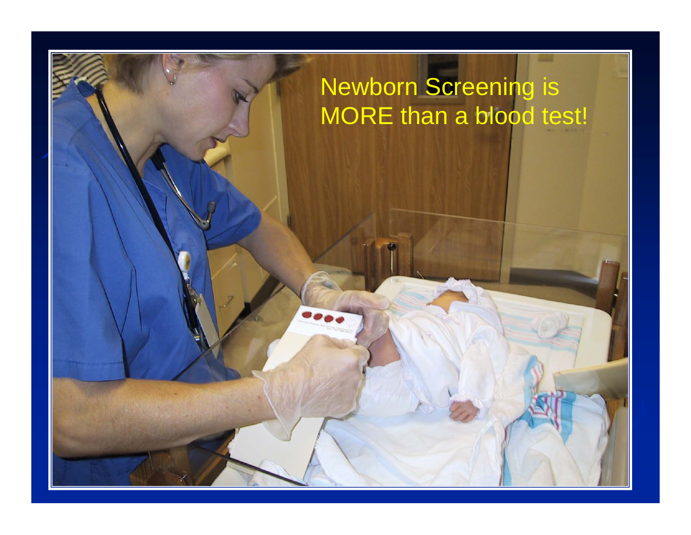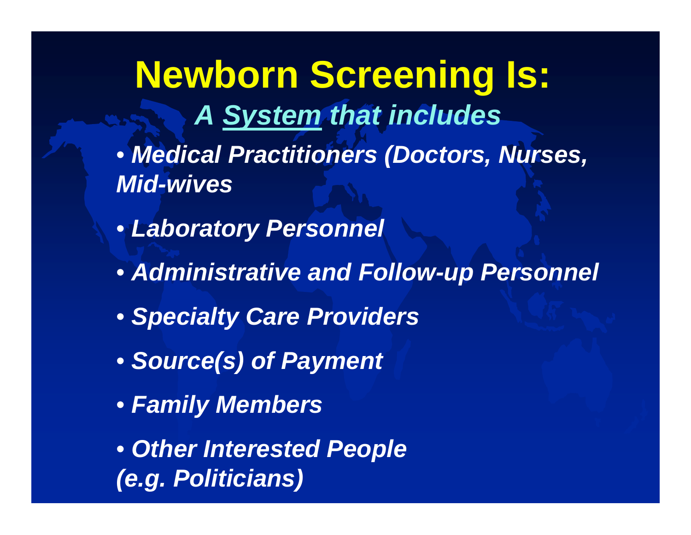**Newborn Screening Is:** *A System that includes*

- *Medical Practitioners (Doctors, Nurses, Mid-wives*
- *Laboratory Personnel*
- *Administrative and Follow-up Personnel*
- *Specialty Care Providers*
- *Source(s) of Payment*
- *Family Members*

• *Other Interested People (e.g. Politicians)*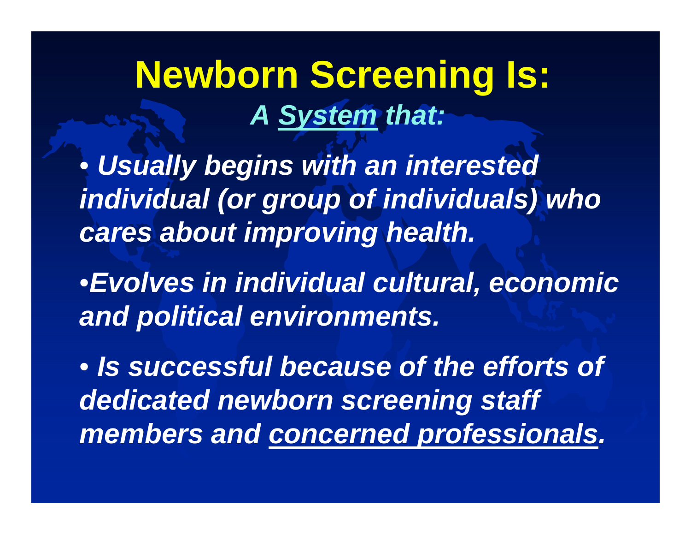**Newborn Screening Is:** *A System that:*

• *Usually begins with an interested individual (or group of individuals) who cares about improving health.*

•*Evolves in individual cultural, economic and political environments.*

• *Is successful because of the efforts of dedicated newborn screening staff members and concerned professionals .*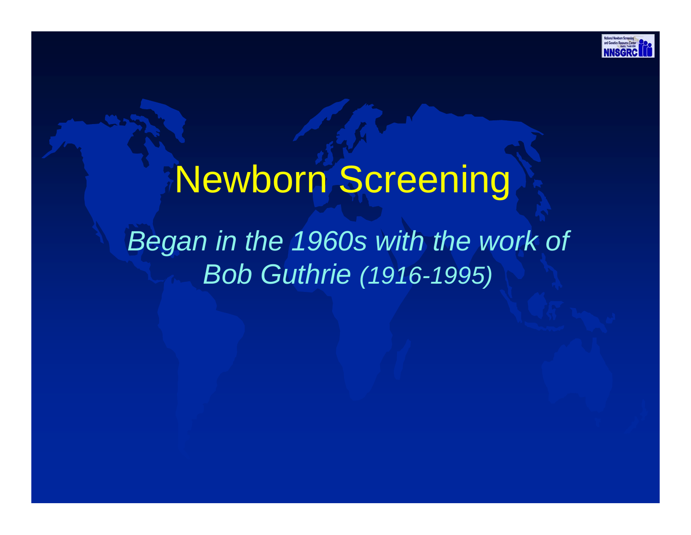

# Newborn Screening

## *Began in the 1960s with the work of Bob Guthrie (1916-1995)*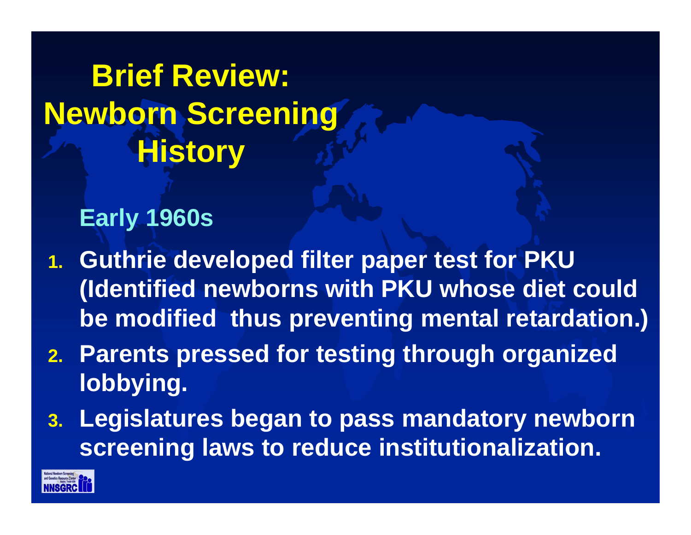**Brief Review: Newborn Screening History** 

### **Early 1960s**

- **1. Guthrie developed filter paper test for PKU (Identified newborns with PKU whose diet could be modified thus preventing mental retardation.)**
- **2. Parents pressed for testing through organized lobbying.**
- **3. Legislatures began to pass mandatory newborn screening laws to reduce institutionalization.**

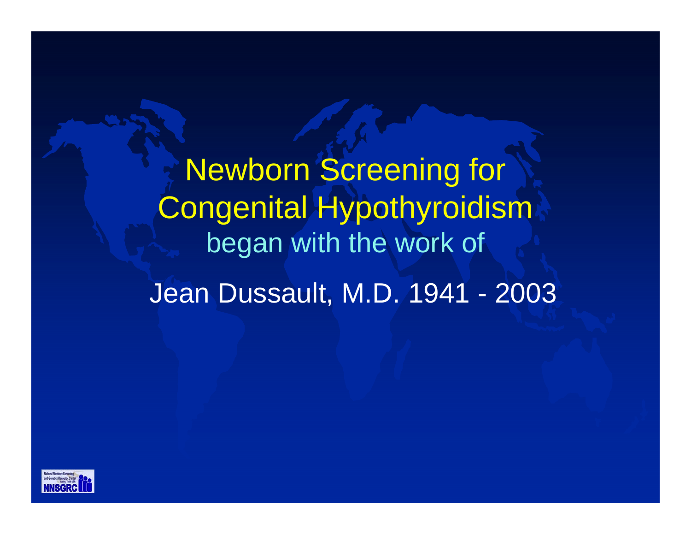Newborn Screening for Congenital Hypothyroidism began with the work of Jean Dussault, M.D. 1941 - 2003

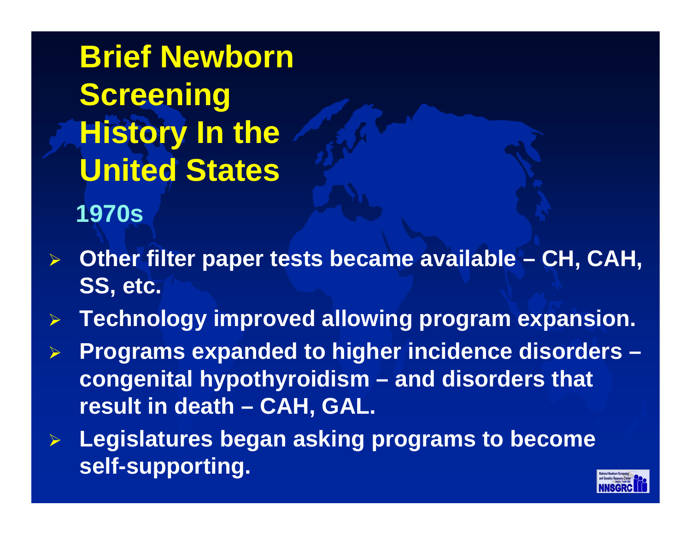**1970sBrief Newborn Screening History In the United States**

- ¾**Other filter paper tests became available – CH, CAH, SS, etc.**
- ¾**Technology improved allowing program expansion.**
- ¾ **Programs expanded to higher incidence disorders – congenital hypothyroidism – and disorders that result in death – CAH, GAL.**
- ¾ **Legislatures began asking programs to become self-supporting.**

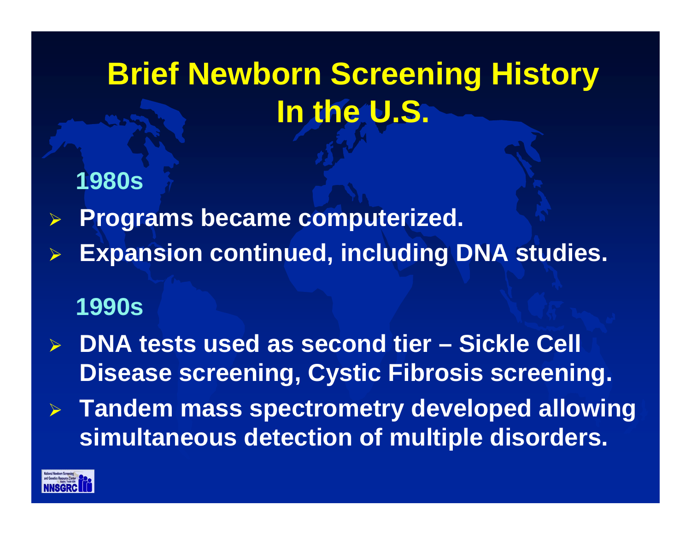## **Brief Newborn Screening History In the U.S.**

- **1980s**
- ¾**Programs became computerized.**
- ¾**Expansion continued, including DNA studies.**

### **1990s**

- $\blacktriangleright$  **DNA tests used as second tier – Sickle Cell Disease screening, Cystic Fibrosis screening.**
- $\sum_{i=1}^{n}$  **Tandem mass spectrometry developed allowing simultaneous detection of multiple disorders.**

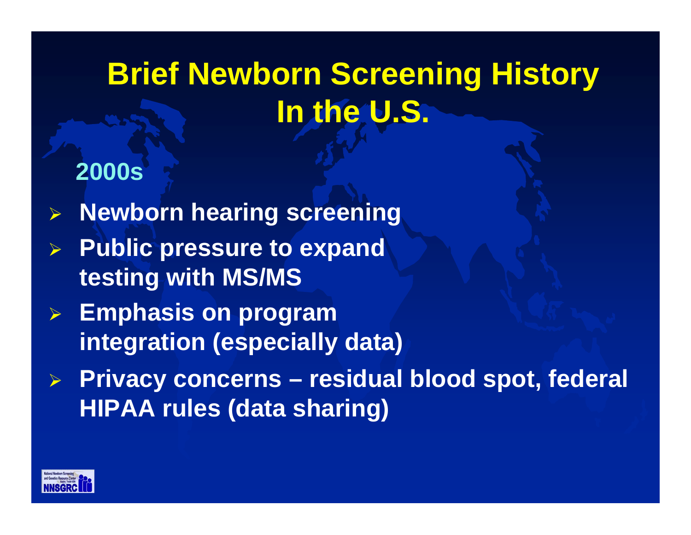## **Brief Newborn Screening History In the U.S.**

### **2000s**

- ¾**Newborn hearing screening**
- ¾ **Public pressure to expand testing with MS/MS**
- ¾ **Emphasis on program integration (especially data)**
- ¾ **Privacy concerns – residual blood spot, federal HIPAA rules (data sharing)**

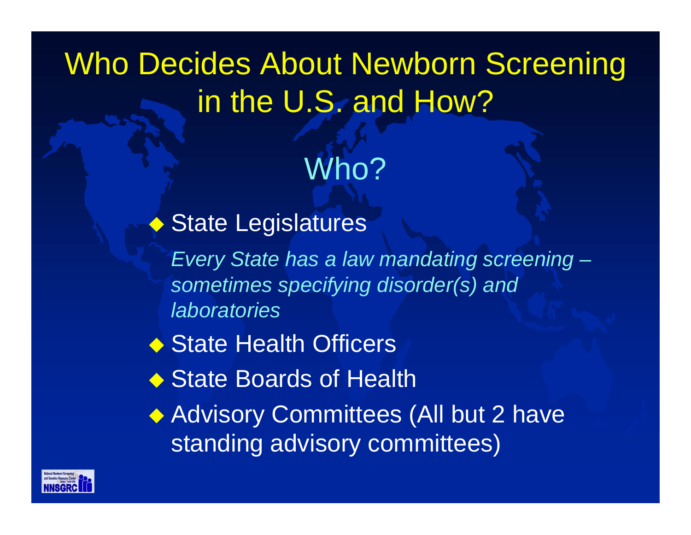## Who Decides About Newborn Screening in the U.S. and How?

Who?

◆ State Legislatures

*Every State has a law mandating screening – sometimes specifying disorder(s) and laboratories*

- ◆ State Health Officers
- ◆ State Boards of Health

◆ Advisory Committees (All but 2 have standing advisory committees)

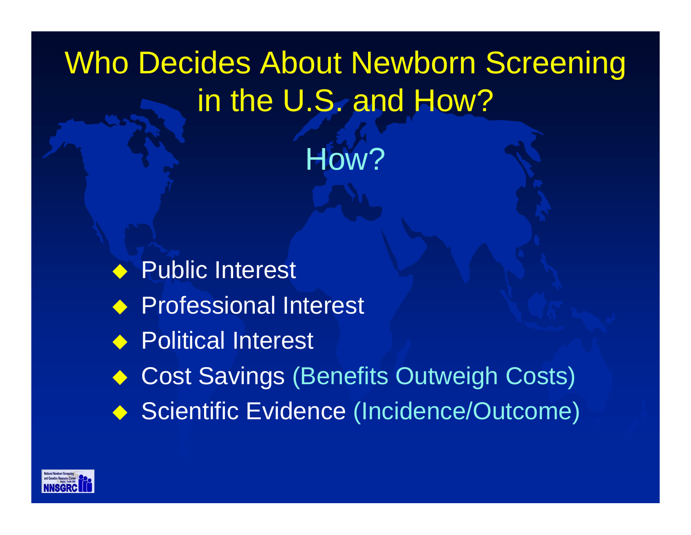# Who Decides About Newborn Screening in the U.S. and How?

How?

♦ Public Interest ◆ Professional Interest ◆ Political Interest Cost Savings (Benefits Outweigh Costs) ◆ Scientific Evidence (Incidence/Outcome)

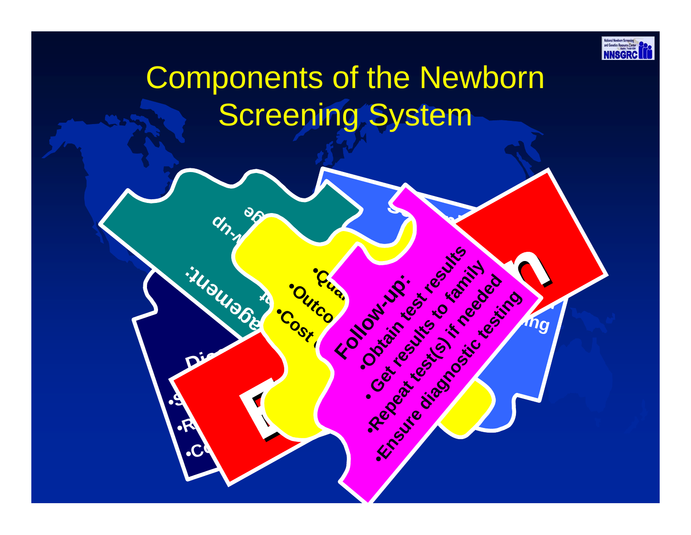

## Components of the Newborn Screening System

**Assessment** 

**Cost Control Proprieting** 

**pec mi**

**L**•

**S**•

**Putcome du Devillesis** 

**Control Canadians** 

**T**•

**ea <sup>r</sup>**

**Congression** 

**er <sup>t</sup>**

**en <sup>s</sup> ot**

**m**

**necessary** 

*family* 

**Conduction Canal** 

**Frontine River** 

**Screening :**

•**Sample**

**Contract of the South Assets** 

**Harbourge Strategy Association** 

**Friday Maritimes Contracts of the Contracts of the Contracts of the Contracts of the Contracts of the Contracts of the Contracts of the Contracts of the Contracts of the Contracts of the Contracts of the Contracts of the** 

**Obtain test contribution** 

•**Sample**

•**Laboratory**

 $\sum_{i=1}^n$ 

**testing**

**Submission** 

**with** 

**Diagnosis:**

**me**

**h**  $\gamma$ 

**p**

**ent:**

**shared**

**Management** 

**ent**

**ar ge**

•**Subspecialist** 

•**Counseling**

•**Results**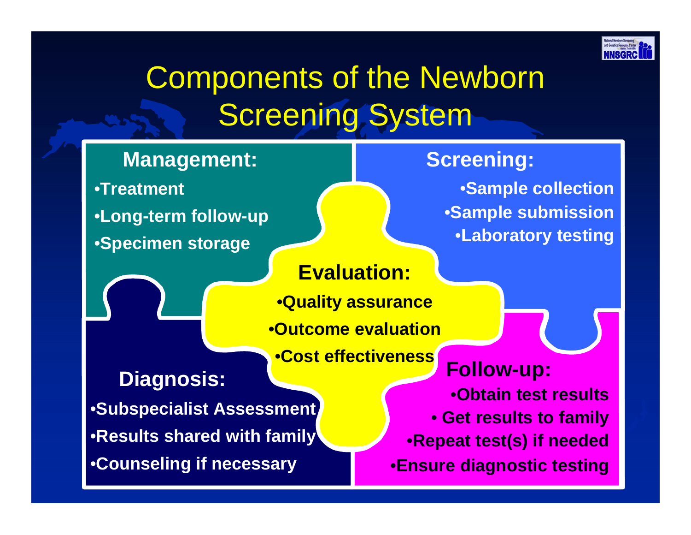

## Components of the Newborn Screening System

#### **Management:**

•**Treatment** •**Long-term follow-up** •**Specimen storage**

#### **Evaluation:**

•**Quality assurance**  •**Outcome evaluation**

•**Cost effectiveness**

**Diagnosis:** •**Subspecialist Assessment** •**Results shared with family** •**Counseling if necessary**

**Follow-up:** •**Obtain test results**• **Get results to family**  •**Repeat test(s) if needed**  •**Ensure diagnostic testing**

**Screening:**

•**Sample collection** 

•**Sample submission**

•**Laboratory testing**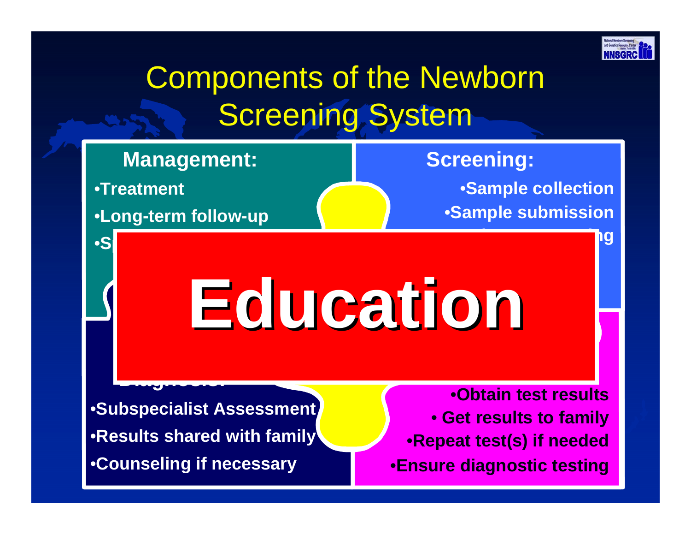

## Components of the Newborn Screening System

### **Management:**

•**Treatment** 

•**Long-term follow-up**

•**Specimen storage**

**Diagnosis: Diagnosis: Diagnosis: Diagnosis: Diagnosis: Diagnosis: Diagnosis: Diagnosis: Diagnosis: Diagnosis:** 

### **Screening:**

•**Sample collection**  •**Sample submission**

•**Laboratory testing**

## •**Quality assurance**  •**Outcome evaluationEducation Education**

•**Subspecialist Assessment** •**Results shared with family** •**Counseling if necessary**

•**Obtain test results**• **Get results to family**  •**Repeat test(s) if needed**  •**Ensure diagnostic testing**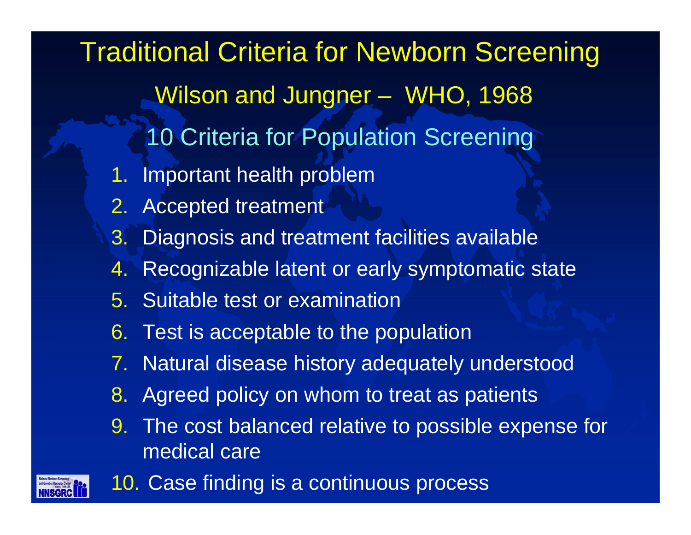1. Important health problem 2. Accepted treatment 3. Diagnosis and treatment facilities available  $4.$  Recognizable latent or early symptomatic state 5. Suitable test or examination6. Test is acceptable to the population 7. Natural disease history adequately understood 8. Agreed policy on whom to treat as patients 9. The cost balanced relative to possible expense for medical care Traditional Criteria for Newborn Screening Wilson and Jungner - WHO, 1968 10 Criteria for Population Screening



10. Case finding is a continuous process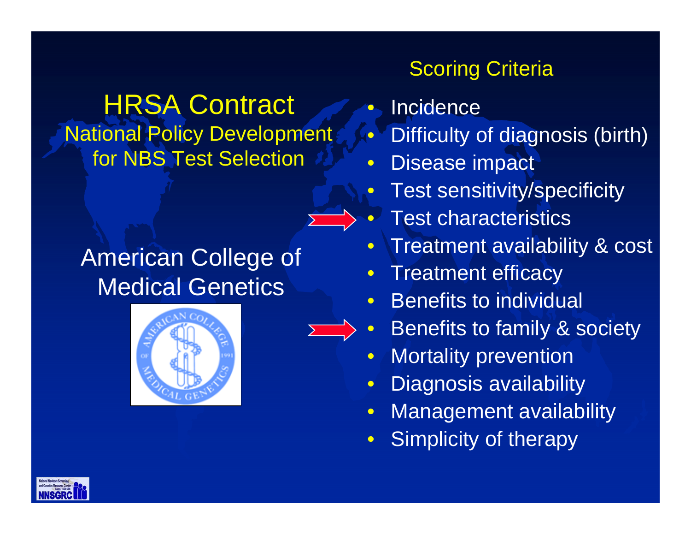HRSA Contract National Policy Development for NBS Test Selection

American College of Medical Genetics





- $\bullet$ **• Incidence**
- $\bullet$ Difficulty of diagnosis (birth)
- $\bullet$ Disease impact
- $\bullet$ Test sensitivity/specificity
- $\bullet$ • Test characteristics
- $\bullet$ Treatment availability & cost
- $\bullet$ Treatment efficacy
- $\bullet$ Benefits to individual
- $\bullet$ Benefits to family & society
- $\bullet$ Mortality prevention
- $\bullet$ Diagnosis availability
- $\bullet$ Management availability
- $\bullet$ Simplicity of therapy

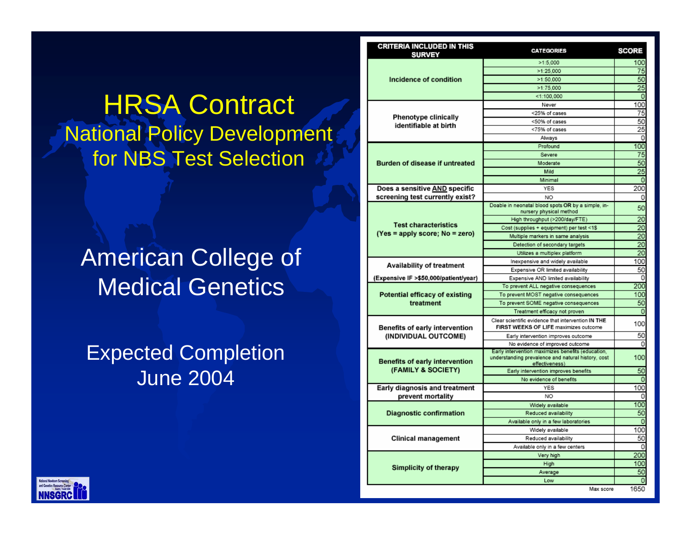**HRSA Contract** National Policy Development for NBS Test Selection

### American College of Medical Genetics

Expected Completion June 2004

| <b>CRITERIA INCLUDED IN THIS</b><br><b>SURVEY</b>             | <b>CATEGORIES</b>                                                                                       | SCORE    |
|---------------------------------------------------------------|---------------------------------------------------------------------------------------------------------|----------|
| Incidence of condition                                        | >1:5.000                                                                                                | 100      |
|                                                               | >1:25,000                                                                                               | 75       |
|                                                               | >1:50,000                                                                                               | 50       |
|                                                               | >1:75.000                                                                                               | 25       |
|                                                               | $<$ 1:100,000                                                                                           | $\circ$  |
| <b>Phenotype clinically</b><br>identifiable at birth          | Never                                                                                                   | 100      |
|                                                               | <25% of cases                                                                                           | 75       |
|                                                               | <50% of cases                                                                                           | 50       |
|                                                               | <75% of cases                                                                                           | 25       |
|                                                               | Always                                                                                                  | 0        |
| Burden of disease if untreated                                | Profound                                                                                                | 100      |
|                                                               | Severe                                                                                                  | 75       |
|                                                               | Moderate                                                                                                | 50       |
|                                                               | Mild                                                                                                    | 25       |
|                                                               | Minimal                                                                                                 | $\circ$  |
| Does a sensitive AND specific                                 | <b>YES</b>                                                                                              | 200      |
| screening test currently exist?                               | NO.                                                                                                     | 0        |
| <b>Test characteristics</b><br>(Yes = apply score; No = zero) | Doable in neonatal blood spots OR by a simple, in-                                                      | 50       |
|                                                               | nursery physical method                                                                                 |          |
|                                                               | High throughput (>200/day/FTE)                                                                          | 20       |
|                                                               | Cost (supplies + equipment) per test <1\$                                                               | 20       |
|                                                               | Multiple markers in same analysis                                                                       | 20       |
|                                                               | Detection of secondary targets                                                                          | 20       |
|                                                               | Utilizes a multiplex platform                                                                           | 20       |
| <b>Availability of treatment</b>                              | Inexpensive and widely available                                                                        | 100      |
|                                                               | Expensive OR limited availability                                                                       | 50       |
| (Expensive IF >\$50,000/patient/year)                         | Expensive AND limited availability                                                                      | 0        |
| Potential efficacy of existing<br>treatment                   | To prevent ALL negative consequences                                                                    | 200      |
|                                                               | To prevent MOST negative consequences                                                                   | 100      |
|                                                               | To prevent SOME negative consequences                                                                   | 50       |
|                                                               | Treatment efficacy not proven                                                                           | $\circ$  |
| <b>Benefits of early intervention</b><br>(INDIVIDUAL OUTCOME) | Clear scientific evidence that intervention IN THE                                                      | 100      |
|                                                               | FIRST WEEKS OF LIFE maximizes outcome                                                                   |          |
|                                                               | Early intervention improves outcome                                                                     | 50       |
|                                                               | No evidence of improved outcome                                                                         | 0        |
| <b>Benefits of early intervention</b><br>(FAMILY & SOCIETY)   | Early intervention maximizes benefits (education,<br>understanding prevalence and natural history, cost | 100      |
|                                                               | effectiveness)<br>Early intervention improves benefits                                                  | 50       |
|                                                               | No evidence of benefits                                                                                 | $\Omega$ |
| Early diagnosis and treatment                                 | YES                                                                                                     | 100      |
| prevent mortality                                             | NO.                                                                                                     | 0        |
| <b>Diagnostic confirmation</b>                                | Widely available                                                                                        | 100      |
|                                                               | Reduced availability                                                                                    | 50       |
|                                                               | Available only in a few laboratories                                                                    | $\circ$  |
| <b>Clinical management</b>                                    | Widely available                                                                                        | 100      |
|                                                               | Reduced availability                                                                                    | 50       |
|                                                               | Available only in a few centers                                                                         | 0        |
| <b>Simplicity of therapy</b>                                  | Very high                                                                                               | 200      |
|                                                               | High                                                                                                    | 100      |
|                                                               | Average                                                                                                 | 50       |
|                                                               | Low                                                                                                     | $\circ$  |
|                                                               | May scop                                                                                                | 1650     |

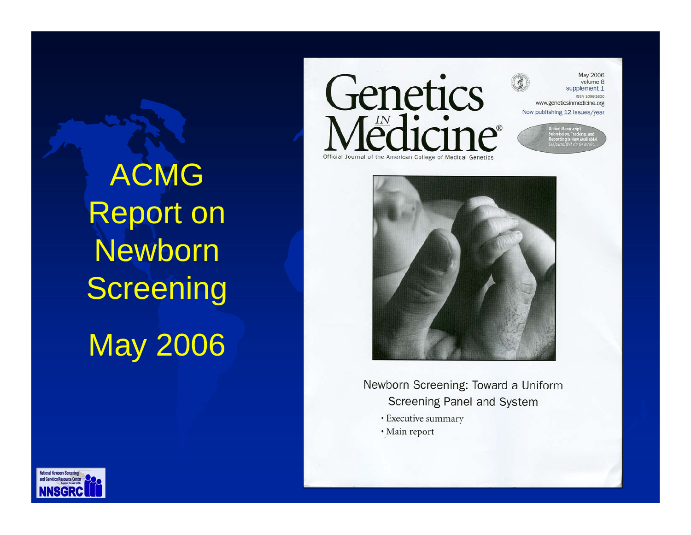ACMG Report on Newborn **Screening** May 2006



**May 2006** volume 8 supplement 1 ISSN 1098-3600

www.geneticsinmedicine.org Now publishing 12 issues/year



Newborn Screening: Toward a Uniform Screening Panel and System

- · Executive summary
- · Main report

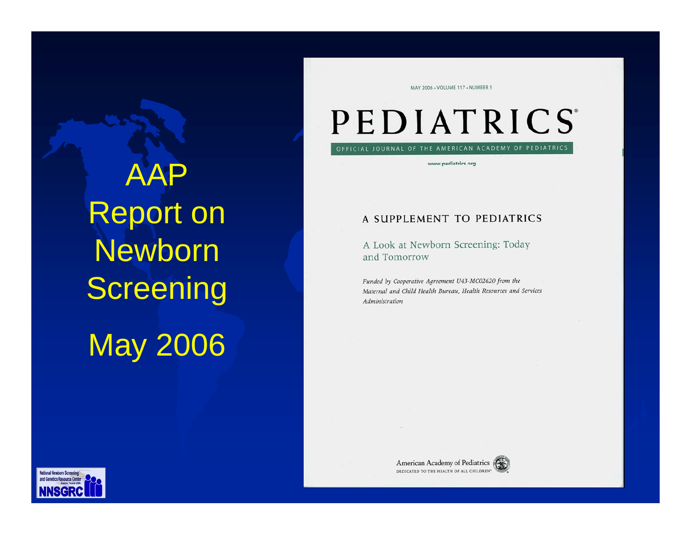AAP Report on **Newborn Screening** May 2006

MAY 2006 - VOLUME 117 - NUMBER 5

## PEDIATRICS

OFFICIAL JOURNAL OF THE AMERICAN ACADEMY OF PEDIATRICS

www.pediatrics.org

#### A SUPPLEMENT TO PEDIATRICS

A Look at Newborn Screening: Today and Tomorrow

Funded by Cooperative Agreement U43-MC02620 from the Maternal and Child Health Bureau, Health Resources and Services Administration



American Academy of Pediatrics DEDICATED TO THE HEALTH OF ALL CHILDREN"

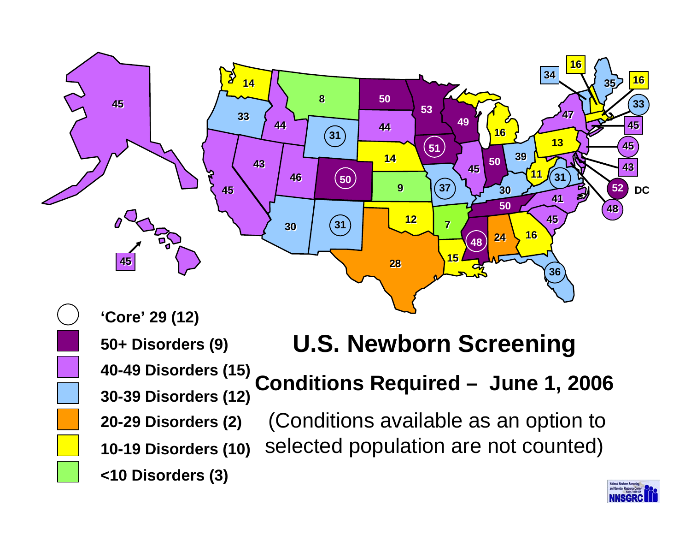

**<10 Disorders (3) 10-19 Disorders (10) 30-39 Disorders (12) 40-49 Disorders (15) 50+ Disorders (9) 20-29 Disorders (2)**

### **U.S. Newborn Screening**

**Conditions Required – June 1, 2006**

(Conditions available as an option to selected population are not counted)